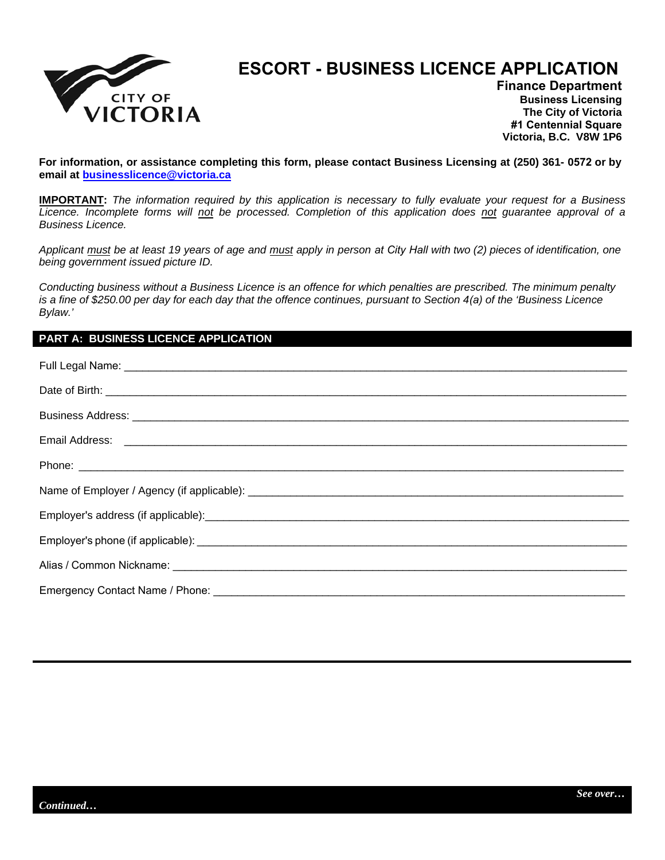

## **ESCORT - BUSINESS LICENCE APPLICATION**

**Finance Department Business Licensing The City of Victoria #1 Centennial Square Victoria, B.C. V8W 1P6** 

**For information, or assistance completing this form, please contact Business Licensing at (250) 361- 0572 or by email at businessli[cence@victoria.ca](mailto:businesslicence@victoria.ca)**

**IMPORTANT:** *The information required by this application is necessary to fully evaluate your request for a Business Licence. Incomplete forms will not be processed. Completion of this application does not guarantee approval of a Business Licence.* 

*Applicant must be at least 19 years of age and must apply in person at City Hall with two (2) pieces of identification, one being government issued picture ID.* 

*Conducting business without a Business Licence is an offence for which penalties are prescribed. The minimum penalty is a fine of \$250.00 per day for each day that the offence continues, pursuant to Section 4(a) of the 'Business Licence Bylaw.'* 

## **PART A: BUSINESS LICENCE APPLICATION**

| Email Address: <u>December 2008 and 2008</u> and 2008 and 2008 and 2008 and 2008 and 2008 and 2008 and 2008 and 2008 and 2008 and 2008 and 2008 and 2008 and 2008 and 2008 and 2008 and 2008 and 2008 and 2008 and 2008 and 2008 an |
|-------------------------------------------------------------------------------------------------------------------------------------------------------------------------------------------------------------------------------------|
|                                                                                                                                                                                                                                     |
|                                                                                                                                                                                                                                     |
|                                                                                                                                                                                                                                     |
|                                                                                                                                                                                                                                     |
|                                                                                                                                                                                                                                     |
|                                                                                                                                                                                                                                     |